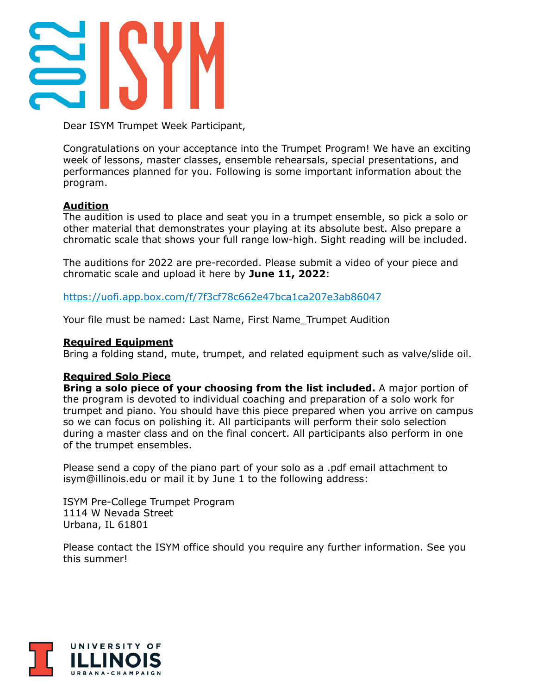

Dear ISYM Trumpet Week Participant,

Congratulations on your acceptance into the Trumpet Program! We have an exciting week of lessons, master classes, ensemble rehearsals, special presentations, and performances planned for you. Following is some important information about the program.

# **Audition**

The audition is used to place and seat you in a trumpet ensemble, so pick a solo or other material that demonstrates your playing at its absolute best. Also prepare a chromatic scale that shows your full range low-high. Sight reading will be included.

The auditions for 2022 are pre-recorded. Please submit a video of your piece and chromatic scale and upload it here by **June 11, 2022**:

<https://uofi.app.box.com/f/7f3cf78c662e47bca1ca207e3ab86047>

Your file must be named: Last Name, First Name\_Trumpet Audition

## **Required Equipment**

Bring a folding stand, mute, trumpet, and related equipment such as valve/slide oil.

## **Required Solo Piece**

**Bring a solo piece of your choosing from the list included.** A major portion of the program is devoted to individual coaching and preparation of a solo work for trumpet and piano. You should have this piece prepared when you arrive on campus so we can focus on polishing it. All participants will perform their solo selection during a master class and on the final concert. All participants also perform in one of the trumpet ensembles.

Please send a copy of the piano part of your solo as a .pdf email attachment to isym@illinois.edu or mail it by June 1 to the following address:

ISYM Pre-College Trumpet Program 1114 W Nevada Street Urbana, IL 61801

Please contact the ISYM office should you require any further information. See you this summer!

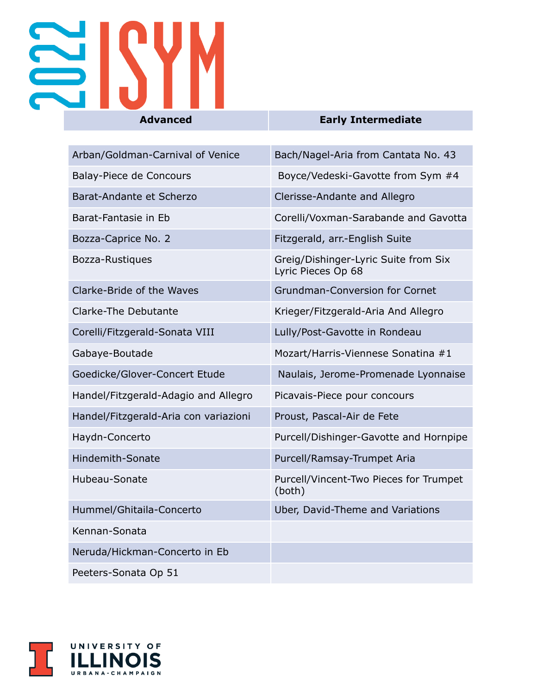

| Arban/Goldman-Carnival of Venice      | Bach/Nagel-Aria from Cantata No. 43                        |
|---------------------------------------|------------------------------------------------------------|
| Balay-Piece de Concours               | Boyce/Vedeski-Gavotte from Sym #4                          |
| Barat-Andante et Scherzo              | Clerisse-Andante and Allegro                               |
| Barat-Fantasie in Eb                  | Corelli/Voxman-Sarabande and Gavotta                       |
| Bozza-Caprice No. 2                   | Fitzgerald, arr.-English Suite                             |
| Bozza-Rustiques                       | Greig/Dishinger-Lyric Suite from Six<br>Lyric Pieces Op 68 |
| Clarke-Bride of the Waves             | <b>Grundman-Conversion for Cornet</b>                      |
| <b>Clarke-The Debutante</b>           | Krieger/Fitzgerald-Aria And Allegro                        |
| Corelli/Fitzgerald-Sonata VIII        | Lully/Post-Gavotte in Rondeau                              |
| Gabaye-Boutade                        | Mozart/Harris-Viennese Sonatina #1                         |
| Goedicke/Glover-Concert Etude         | Naulais, Jerome-Promenade Lyonnaise                        |
| Handel/Fitzgerald-Adagio and Allegro  | Picavais-Piece pour concours                               |
| Handel/Fitzgerald-Aria con variazioni | Proust, Pascal-Air de Fete                                 |
| Haydn-Concerto                        | Purcell/Dishinger-Gavotte and Hornpipe                     |
| <b>Hindemith-Sonate</b>               | Purcell/Ramsay-Trumpet Aria                                |
| Hubeau-Sonate                         | Purcell/Vincent-Two Pieces for Trumpet<br>(both)           |
| Hummel/Ghitaila-Concerto              | Uber, David-Theme and Variations                           |
| Kennan-Sonata                         |                                                            |
| Neruda/Hickman-Concerto in Eb         |                                                            |
| Peeters-Sonata Op 51                  |                                                            |